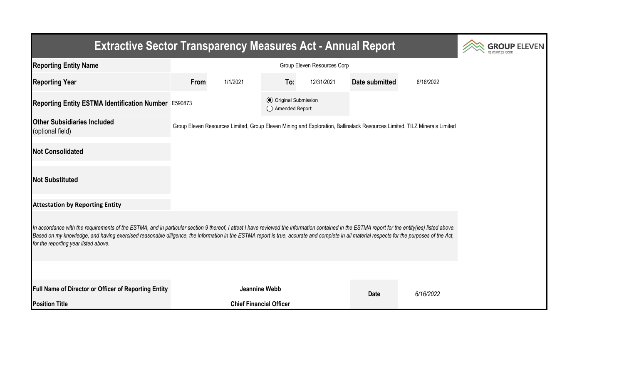| <b>Extractive Sector Transparency Measures Act - Annual Report</b>                                                                                                                                                                                                                                                                                                                                                                    | <b>GROUP ELEVEN</b> |                                |                                                  |            |                                                                                                                           |           |  |  |  |  |
|---------------------------------------------------------------------------------------------------------------------------------------------------------------------------------------------------------------------------------------------------------------------------------------------------------------------------------------------------------------------------------------------------------------------------------------|---------------------|--------------------------------|--------------------------------------------------|------------|---------------------------------------------------------------------------------------------------------------------------|-----------|--|--|--|--|
| <b>Reporting Entity Name</b>                                                                                                                                                                                                                                                                                                                                                                                                          |                     |                                |                                                  |            |                                                                                                                           |           |  |  |  |  |
| <b>Reporting Year</b>                                                                                                                                                                                                                                                                                                                                                                                                                 | From                | 1/1/2021                       | To:                                              | 12/31/2021 | Date submitted                                                                                                            | 6/16/2022 |  |  |  |  |
| Reporting Entity ESTMA Identification Number E590873                                                                                                                                                                                                                                                                                                                                                                                  |                     |                                | <b>⊙</b> Original Submission<br>◯ Amended Report |            |                                                                                                                           |           |  |  |  |  |
| <b>Other Subsidiaries Included</b><br>(optional field)                                                                                                                                                                                                                                                                                                                                                                                |                     |                                |                                                  |            | Group Eleven Resources Limited, Group Eleven Mining and Exploration, Ballinalack Resources Limited, TILZ Minerals Limited |           |  |  |  |  |
| <b>Not Consolidated</b>                                                                                                                                                                                                                                                                                                                                                                                                               |                     |                                |                                                  |            |                                                                                                                           |           |  |  |  |  |
| <b>Not Substituted</b>                                                                                                                                                                                                                                                                                                                                                                                                                |                     |                                |                                                  |            |                                                                                                                           |           |  |  |  |  |
| <b>Attestation by Reporting Entity</b>                                                                                                                                                                                                                                                                                                                                                                                                |                     |                                |                                                  |            |                                                                                                                           |           |  |  |  |  |
| In accordance with the requirements of the ESTMA, and in particular section 9 thereof, I attest I have reviewed the information contained in the ESTMA report for the entity(ies) listed above.<br>Based on my knowledge, and having exercised reasonable diligence, the information in the ESTMA report is true, accurate and complete in all material respects for the purposes of the Act,<br>for the reporting year listed above. |                     |                                |                                                  |            |                                                                                                                           |           |  |  |  |  |
|                                                                                                                                                                                                                                                                                                                                                                                                                                       |                     |                                |                                                  |            |                                                                                                                           |           |  |  |  |  |
| <b>Full Name of Director or Officer of Reporting Entity</b>                                                                                                                                                                                                                                                                                                                                                                           |                     | Jeannine Webb                  |                                                  |            | <b>Date</b>                                                                                                               | 6/16/2022 |  |  |  |  |
| <b>Position Title</b>                                                                                                                                                                                                                                                                                                                                                                                                                 |                     | <b>Chief Financial Officer</b> |                                                  |            |                                                                                                                           |           |  |  |  |  |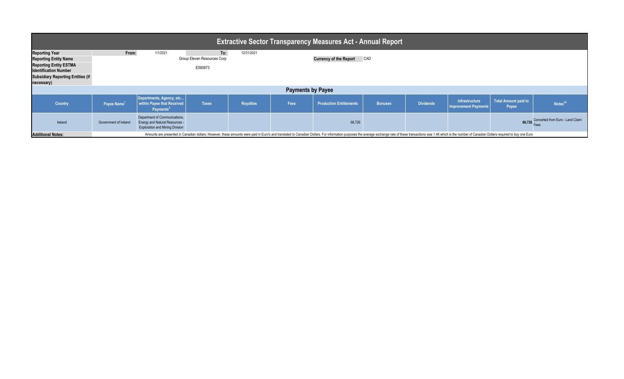| <b>Extractive Sector Transparency Measures Act - Annual Report</b>                                                                                                               |                                                                                                                                                                                                                                |                                                                                                                  |                                               |                  |      |                                   |                |                  |                                               |                                      |                                         |  |
|----------------------------------------------------------------------------------------------------------------------------------------------------------------------------------|--------------------------------------------------------------------------------------------------------------------------------------------------------------------------------------------------------------------------------|------------------------------------------------------------------------------------------------------------------|-----------------------------------------------|------------------|------|-----------------------------------|----------------|------------------|-----------------------------------------------|--------------------------------------|-----------------------------------------|--|
| <b>Reporting Year</b><br><b>Reporting Entity Name</b><br><b>Reporting Entity ESTMA</b><br><b>Identification Number</b><br><b>Subsidiary Reporting Entities (if</b><br>necessary) | From:                                                                                                                                                                                                                          | 1/1/2021                                                                                                         | To:<br>Group Eleven Resources Corp<br>E590873 | 12/31/2021       |      | <b>Currency of the Report CAD</b> |                |                  |                                               |                                      |                                         |  |
| <b>Payments by Payee</b>                                                                                                                                                         |                                                                                                                                                                                                                                |                                                                                                                  |                                               |                  |      |                                   |                |                  |                                               |                                      |                                         |  |
| Country                                                                                                                                                                          | Payee Name <sup>1</sup>                                                                                                                                                                                                        | Departments, Agency, etc<br>within Payee that Received<br>Payments <sup>2</sup>                                  | <b>Taxes</b>                                  | <b>Royalties</b> | Fees | <b>Production Entitlements</b>    | <b>Bonuses</b> | <b>Dividends</b> | Infrastructure<br><b>Improvement Payments</b> | <b>Total Amount paid to</b><br>Payee | Notes <sup>34</sup>                     |  |
| Ireland                                                                                                                                                                          | Government of Ireland                                                                                                                                                                                                          | Department of Communications,<br><b>Energy and Natural Resources -</b><br><b>Exploration and Mining Division</b> |                                               |                  |      | 66,726                            |                |                  |                                               |                                      | 66,726 Converted from Euro - Land Claim |  |
| <b>Additional Notes:</b>                                                                                                                                                         | Amounts are presented in Canadian dollars; However, these amounts were paid in Euro's and translated to Canadian Dollars. For information purposes the average exchange rate of these transactions was 1.48 which is the numbe |                                                                                                                  |                                               |                  |      |                                   |                |                  |                                               |                                      |                                         |  |